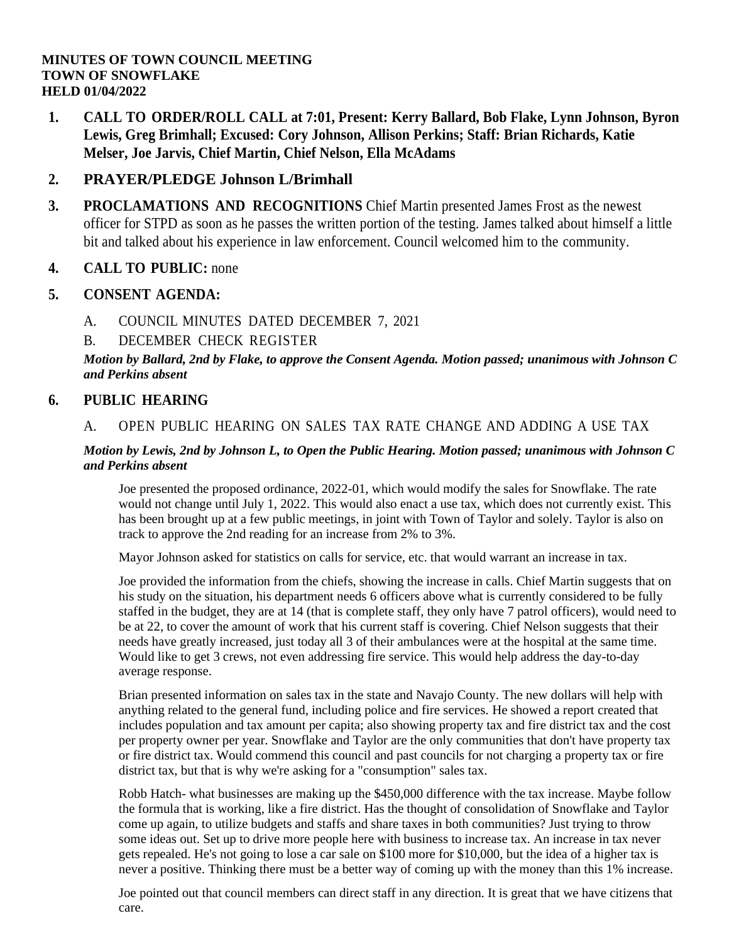**1. CALL TO ORDER/ROLL CALL at 7:01, Present: Kerry Ballard, Bob Flake, Lynn Johnson, Byron Lewis, Greg Brimhall; Excused: Cory Johnson, Allison Perkins; Staff: Brian Richards, Katie Melser, Joe Jarvis, Chief Martin, Chief Nelson, Ella McAdams**

### **2. PRAYER/PLEDGE Johnson L/Brimhall**

**3. PROCLAMATIONS AND RECOGNITIONS** Chief Martin presented James Frost as the newest officer for STPD as soon as he passes the written portion of the testing. James talked about himself a little bit and talked about his experience in law enforcement. Council welcomed him to the community.

### **4. CALL TO PUBLIC:** none

### **5. CONSENT AGENDA:**

A. COUNCIL MINUTES DATED [DECEMBER](file:///C:/Windows/TEMP/CoverSheet.aspx) 7, 2021

### B. [DECEMBER](file:///C:/Windows/TEMP/CoverSheet.aspx) CHECK REGISTER

*Motion by Ballard, 2nd by Flake, to approve the Consent Agenda. Motion passed; unanimous with Johnson C and Perkins absent*

### **6. PUBLIC HEARING**

#### A. OPEN PUBLIC [HEARING](file:///C:/Windows/TEMP/CoverSheet.aspx) ON SALES TAX RATE CHANGE AND ADDING A USE TAX

#### *Motion by Lewis, 2nd by Johnson L, to Open the Public Hearing. Motion passed; unanimous with Johnson C and Perkins absent*

Joe presented the proposed ordinance, 2022-01, which would modify the sales for Snowflake. The rate would not change until July 1, 2022. This would also enact a use tax, which does not currently exist. This has been brought up at a few public meetings, in joint with Town of Taylor and solely. Taylor is also on track to approve the 2nd reading for an increase from 2% to 3%.

Mayor Johnson asked for statistics on calls for service, etc. that would warrant an increase in tax.

Joe provided the information from the chiefs, showing the increase in calls. Chief Martin suggests that on his study on the situation, his department needs 6 officers above what is currently considered to be fully staffed in the budget, they are at 14 (that is complete staff, they only have 7 patrol officers), would need to be at 22, to cover the amount of work that his current staff is covering. Chief Nelson suggests that their needs have greatly increased, just today all 3 of their ambulances were at the hospital at the same time. Would like to get 3 crews, not even addressing fire service. This would help address the day-to-day average response.

Brian presented information on sales tax in the state and Navajo County. The new dollars will help with anything related to the general fund, including police and fire services. He showed a report created that includes population and tax amount per capita; also showing property tax and fire district tax and the cost per property owner per year. Snowflake and Taylor are the only communities that don't have property tax or fire district tax. Would commend this council and past councils for not charging a property tax or fire district tax, but that is why we're asking for a "consumption" sales tax.

Robb Hatch- what businesses are making up the \$450,000 difference with the tax increase. Maybe follow the formula that is working, like a fire district. Has the thought of consolidation of Snowflake and Taylor come up again, to utilize budgets and staffs and share taxes in both communities? Just trying to throw some ideas out. Set up to drive more people here with business to increase tax. An increase in tax never gets repealed. He's not going to lose a car sale on \$100 more for \$10,000, but the idea of a higher tax is never a positive. Thinking there must be a better way of coming up with the money than this 1% increase.

Joe pointed out that council members can direct staff in any direction. It is great that we have citizens that care.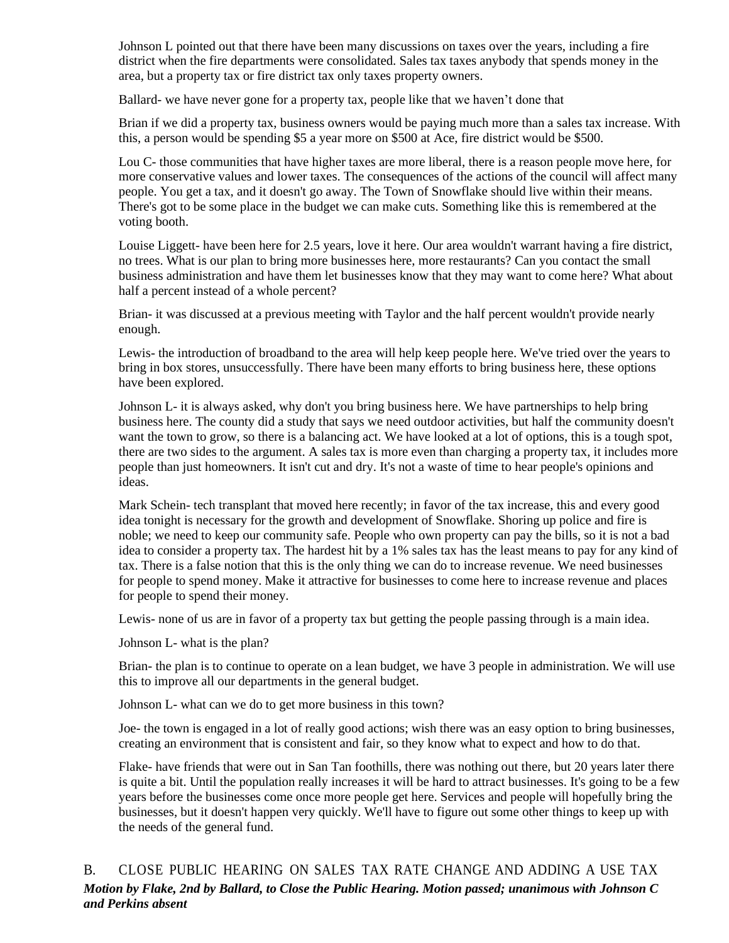Johnson L pointed out that there have been many discussions on taxes over the years, including a fire district when the fire departments were consolidated. Sales tax taxes anybody that spends money in the area, but a property tax or fire district tax only taxes property owners.

Ballard- we have never gone for a property tax, people like that we haven't done that

Brian if we did a property tax, business owners would be paying much more than a sales tax increase. With this, a person would be spending \$5 a year more on \$500 at Ace, fire district would be \$500.

Lou C- those communities that have higher taxes are more liberal, there is a reason people move here, for more conservative values and lower taxes. The consequences of the actions of the council will affect many people. You get a tax, and it doesn't go away. The Town of Snowflake should live within their means. There's got to be some place in the budget we can make cuts. Something like this is remembered at the voting booth.

Louise Liggett- have been here for 2.5 years, love it here. Our area wouldn't warrant having a fire district, no trees. What is our plan to bring more businesses here, more restaurants? Can you contact the small business administration and have them let businesses know that they may want to come here? What about half a percent instead of a whole percent?

Brian- it was discussed at a previous meeting with Taylor and the half percent wouldn't provide nearly enough.

Lewis- the introduction of broadband to the area will help keep people here. We've tried over the years to bring in box stores, unsuccessfully. There have been many efforts to bring business here, these options have been explored.

Johnson L- it is always asked, why don't you bring business here. We have partnerships to help bring business here. The county did a study that says we need outdoor activities, but half the community doesn't want the town to grow, so there is a balancing act. We have looked at a lot of options, this is a tough spot, there are two sides to the argument. A sales tax is more even than charging a property tax, it includes more people than just homeowners. It isn't cut and dry. It's not a waste of time to hear people's opinions and ideas.

Mark Schein- tech transplant that moved here recently; in favor of the tax increase, this and every good idea tonight is necessary for the growth and development of Snowflake. Shoring up police and fire is noble; we need to keep our community safe. People who own property can pay the bills, so it is not a bad idea to consider a property tax. The hardest hit by a 1% sales tax has the least means to pay for any kind of tax. There is a false notion that this is the only thing we can do to increase revenue. We need businesses for people to spend money. Make it attractive for businesses to come here to increase revenue and places for people to spend their money.

Lewis- none of us are in favor of a property tax but getting the people passing through is a main idea.

Johnson L- what is the plan?

Brian- the plan is to continue to operate on a lean budget, we have 3 people in administration. We will use this to improve all our departments in the general budget.

Johnson L- what can we do to get more business in this town?

Joe- the town is engaged in a lot of really good actions; wish there was an easy option to bring businesses, creating an environment that is consistent and fair, so they know what to expect and how to do that.

Flake- have friends that were out in San Tan foothills, there was nothing out there, but 20 years later there is quite a bit. Until the population really increases it will be hard to attract businesses. It's going to be a few years before the businesses come once more people get here. Services and people will hopefully bring the businesses, but it doesn't happen very quickly. We'll have to figure out some other things to keep up with the needs of the general fund.

B. CLOSE PUBLIC [HEARING](file:///C:/Windows/TEMP/CoverSheet.aspx) ON SALES TAX RATE CHANGE AND ADDING A USE TAX *Motion by Flake, 2nd by Ballard, to Close the Public Hearing. Motion passed; unanimous with Johnson C and Perkins absent*